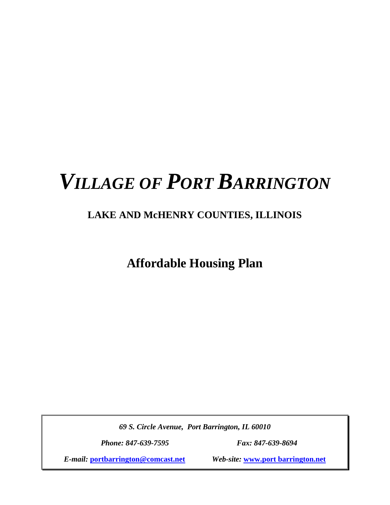# *VILLAGE OF PORT BARRINGTON*

## **LAKE AND McHENRY COUNTIES, ILLINOIS**

**Affordable Housing Plan**

*69 S. Circle Avenue, Port Barrington, IL 60010*

*Phone: 847-639-7595 Fax: 847-639-8694*

*E-mail:* **[portbarrington@comcast.net](mailto:portbarrington@comcast.net)** *Web-site:* **www.port barrington.net**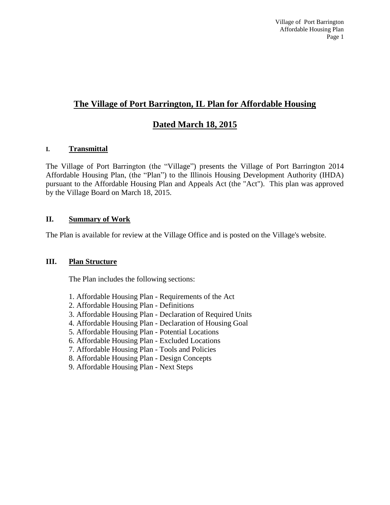## **The Village of Port Barrington, IL Plan for Affordable Housing**

## **Dated March 18, 2015**

#### **I. Transmittal**

The Village of Port Barrington (the "Village") presents the Village of Port Barrington 2014 Affordable Housing Plan, (the "Plan") to the Illinois Housing Development Authority (IHDA) pursuant to the Affordable Housing Plan and Appeals Act (the "Act"). This plan was approved by the Village Board on March 18, 2015.

#### **II. Summary of Work**

The Plan is available for review at the Village Office and is posted on the Village's website.

#### **III. Plan Structure**

The Plan includes the following sections:

- 1. Affordable Housing Plan Requirements of the Act
- 2. Affordable Housing Plan Definitions
- 3. Affordable Housing Plan Declaration of Required Units
- 4. Affordable Housing Plan Declaration of Housing Goal
- 5. Affordable Housing Plan Potential Locations
- 6. Affordable Housing Plan Excluded Locations
- 7. Affordable Housing Plan Tools and Policies
- 8. Affordable Housing Plan Design Concepts
- 9. Affordable Housing Plan Next Steps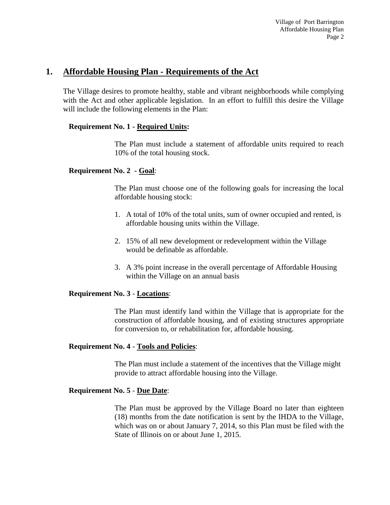## **1. Affordable Housing Plan - Requirements of the Act**

The Village desires to promote healthy, stable and vibrant neighborhoods while complying with the Act and other applicable legislation. In an effort to fulfill this desire the Village will include the following elements in the Plan:

#### **Requirement No. 1 - Required Units:**

The Plan must include a statement of affordable units required to reach 10% of the total housing stock.

#### **Requirement No. 2 - Goal**:

The Plan must choose one of the following goals for increasing the local affordable housing stock:

- 1. A total of 10% of the total units, sum of owner occupied and rented, is affordable housing units within the Village.
- 2. 15% of all new development or redevelopment within the Village would be definable as affordable.
- 3. A 3% point increase in the overall percentage of Affordable Housing within the Village on an annual basis

#### **Requirement No. 3** - **Locations**:

The Plan must identify land within the Village that is appropriate for the construction of affordable housing, and of existing structures appropriate for conversion to, or rehabilitation for, affordable housing.

#### **Requirement No. 4** - **Tools and Policies**:

The Plan must include a statement of the incentives that the Village might provide to attract affordable housing into the Village.

#### **Requirement No. 5** - **Due Date**:

The Plan must be approved by the Village Board no later than eighteen (18) months from the date notification is sent by the IHDA to the Village, which was on or about January 7, 2014, so this Plan must be filed with the State of Illinois on or about June 1, 2015.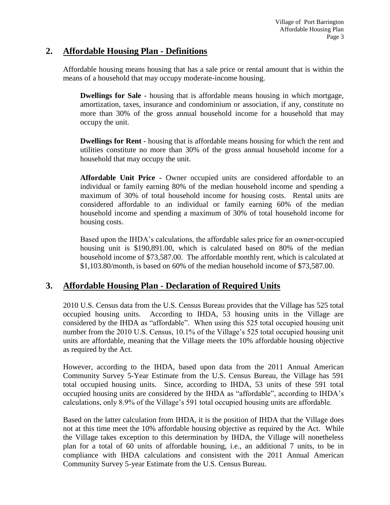### **2. Affordable Housing Plan - Definitions**

Affordable housing means housing that has a sale price or rental amount that is within the means of a household that may occupy moderate-income housing.

**Dwellings for Sale** - housing that is affordable means housing in which mortgage, amortization, taxes, insurance and condominium or association, if any, constitute no more than 30% of the gross annual household income for a household that may occupy the unit.

**Dwellings for Rent -** housing that is affordable means housing for which the rent and utilities constitute no more than 30% of the gross annual household income for a household that may occupy the unit.

**Affordable Unit Price -** Owner occupied units are considered affordable to an individual or family earning 80% of the median household income and spending a maximum of 30% of total household income for housing costs. Rental units are considered affordable to an individual or family earning 60% of the median household income and spending a maximum of 30% of total household income for housing costs.

Based upon the IHDA's calculations, the affordable sales price for an owner-occupied housing unit is \$190,891.00, which is calculated based on 80% of the median household income of \$73,587.00. The affordable monthly rent, which is calculated at \$1,103.80/month, is based on 60% of the median household income of \$73,587.00.

## **3. Affordable Housing Plan - Declaration of Required Units**

2010 U.S. Census data from the U.S. Census Bureau provides that the Village has 525 total occupied housing units. According to IHDA, 53 housing units in the Village are considered by the IHDA as "affordable". When using this 525 total occupied housing unit number from the 2010 U.S. Census, 10.1% of the Village's 525 total occupied housing unit units are affordable, meaning that the Village meets the 10% affordable housing objective as required by the Act.

However, according to the IHDA, based upon data from the 2011 Annual American Community Survey 5-Year Estimate from the U.S. Census Bureau, the Village has 591 total occupied housing units. Since, according to IHDA, 53 units of these 591 total occupied housing units are considered by the IHDA as "affordable", according to IHDA's calculations, only 8.9% of the Village's 591 total occupied housing units are affordable.

Based on the latter calculation from IHDA, it is the position of IHDA that the Village does not at this time meet the 10% affordable housing objective as required by the Act. While the Village takes exception to this determination by IHDA, the Village will nonetheless plan for a total of 60 units of affordable housing, i.e., an additional 7 units, to be in compliance with IHDA calculations and consistent with the 2011 Annual American Community Survey 5-year Estimate from the U.S. Census Bureau.